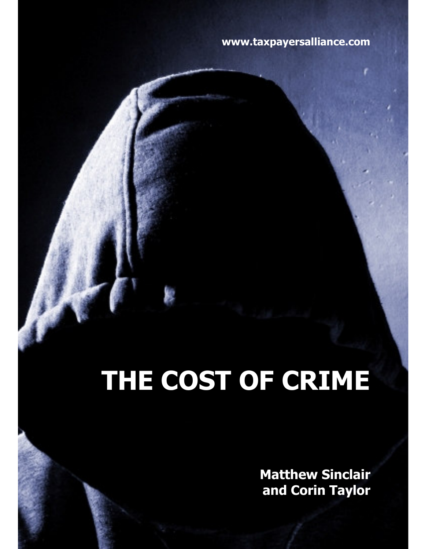# www.taxpayersalliance.com

# THE COST OF CRIME

Matthew Sinclair and Corin Taylor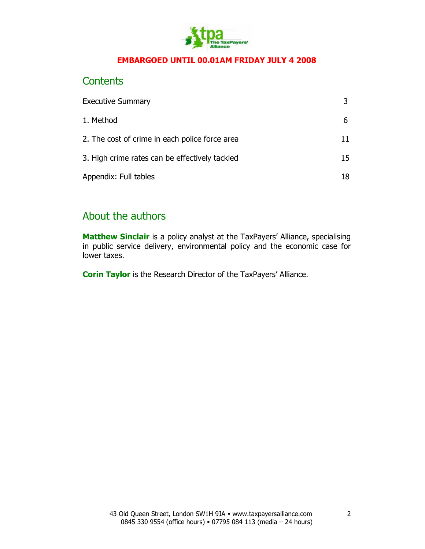

#### EMBARGOED UNTIL 00.01AM FRIDAY JULY 4 2008

## **Contents**

| <b>Executive Summary</b>                       |    |
|------------------------------------------------|----|
| 1. Method                                      |    |
| 2. The cost of crime in each police force area | 11 |
| 3. High crime rates can be effectively tackled | 15 |
| Appendix: Full tables                          | 18 |

# About the authors

Matthew Sinclair is a policy analyst at the TaxPayers' Alliance, specialising in public service delivery, environmental policy and the economic case for lower taxes.

Corin Taylor is the Research Director of the TaxPayers' Alliance.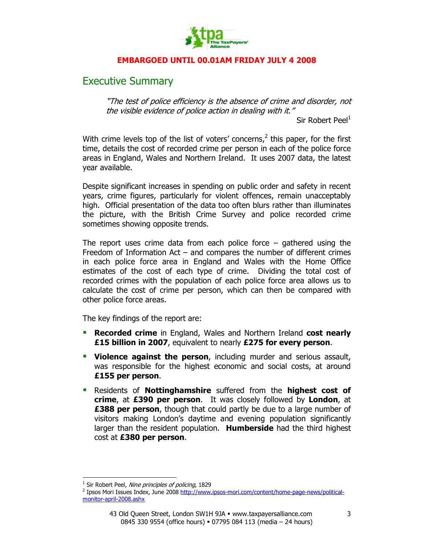

#### EMBARGOED UNTIL 00.01AM FRIDAY JULY 4 2008

## Executive Summary

"The test of police efficiency is the absence of crime and disorder, not the visible evidence of police action in dealing with it."

Sir Robert Peel $<sup>1</sup>$ </sup>

With crime levels top of the list of voters' concerns, $<sup>2</sup>$  this paper, for the first</sup> time, details the cost of recorded crime per person in each of the police force areas in England, Wales and Northern Ireland. It uses 2007 data, the latest year available.

Despite significant increases in spending on public order and safety in recent years, crime figures, particularly for violent offences, remain unacceptably high. Official presentation of the data too often blurs rather than illuminates the picture, with the British Crime Survey and police recorded crime sometimes showing opposite trends.

The report uses crime data from each police force  $-$  gathered using the Freedom of Information Act  $-$  and compares the number of different crimes in each police force area in England and Wales with the Home Office estimates of the cost of each type of crime. Dividing the total cost of recorded crimes with the population of each police force area allows us to calculate the cost of crime per person, which can then be compared with other police force areas.

The key findings of the report are:

- Recorded crime in England, Wales and Northern Ireland cost nearly £15 billion in 2007, equivalent to nearly £275 for every person.
- **Violence against the person**, including murder and serious assault, was responsible for the highest economic and social costs, at around £155 per person.
- Residents of Nottinghamshire suffered from the highest cost of crime, at £390 per person. It was closely followed by London, at **£388 per person**, though that could partly be due to a large number of visitors making London's daytime and evening population significantly larger than the resident population. **Humberside** had the third highest cost at £380 per person.

 $\overline{a}$ 

<sup>&</sup>lt;sup>1</sup> Sir Robert Peel, Nine principles of policing, 1829

<sup>&</sup>lt;sup>2</sup> Ipsos Mori Issues Index, June 2008 http://www.ipsos-mori.com/content/home-page-news/politicalmonitor-april-2008.ashx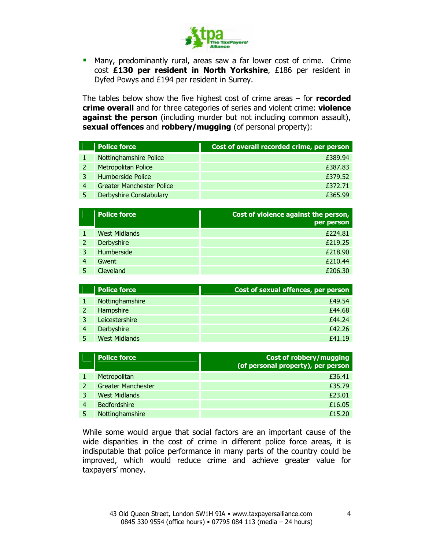

 Many, predominantly rural, areas saw a far lower cost of crime. Crime cost £130 per resident in North Yorkshire, £186 per resident in Dyfed Powys and £194 per resident in Surrey.

The tables below show the five highest cost of crime areas  $-$  for recorded crime overall and for three categories of series and violent crime: violence against the person (including murder but not including common assault), sexual offences and robbery/mugging (of personal property):

|   | <b>Police force</b>              | Cost of overall recorded crime, per person |
|---|----------------------------------|--------------------------------------------|
|   | Nottinghamshire Police           | £389.94                                    |
|   | <b>Metropolitan Police</b>       | £387.83                                    |
|   | Humberside Police                | £379.52                                    |
| 4 | <b>Greater Manchester Police</b> | £372.71                                    |
|   | <b>Derbyshire Constabulary</b>   | £365.99                                    |

|   | <b>Police force</b>  | Cost of violence against the person,<br>per person |
|---|----------------------|----------------------------------------------------|
|   | <b>West Midlands</b> | £224.81                                            |
|   | Derbyshire           | £219.25                                            |
|   | Humberside           | £218.90                                            |
| 4 | Gwent                | £210.44                                            |
|   | Cleveland            | £206.30                                            |

| <b>Police force</b>  | Cost of sexual offences, per person |
|----------------------|-------------------------------------|
| Nottinghamshire      | £49.54                              |
| Hampshire            | £44.68                              |
| Leicestershire       | £44.24                              |
| Derbyshire           | £42.26                              |
| <b>West Midlands</b> | f41.19                              |

|   | <b>Police force</b>       | <b>Cost of robbery/mugging</b><br>(of personal property), per person |
|---|---------------------------|----------------------------------------------------------------------|
|   | Metropolitan              | £36.41                                                               |
|   | <b>Greater Manchester</b> | £35.79                                                               |
|   | <b>West Midlands</b>      | £23.01                                                               |
| 4 | <b>Bedfordshire</b>       | £16.05                                                               |
|   | Nottinghamshire           | £15.20                                                               |

While some would argue that social factors are an important cause of the wide disparities in the cost of crime in different police force areas, it is indisputable that police performance in many parts of the country could be improved, which would reduce crime and achieve greater value for taxpayers' money.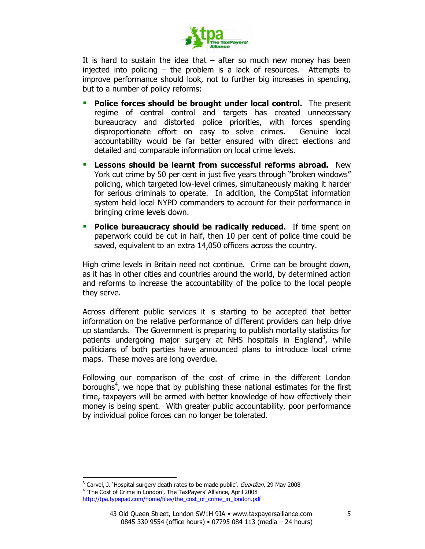

It is hard to sustain the idea that  $-$  after so much new money has been injected into policing – the problem is a lack of resources. Attempts to improve performance should look, not to further big increases in spending, but to a number of policy reforms:

- Police forces should be brought under local control. The present regime of central control and targets has created unnecessary bureaucracy and distorted police priorities, with forces spending disproportionate effort on easy to solve crimes. Genuine local accountability would be far better ensured with direct elections and detailed and comparable information on local crime levels.
- **EXECT** Lessons should be learnt from successful reforms abroad. New York cut crime by 50 per cent in just five years through "broken windows" policing, which targeted low-level crimes, simultaneously making it harder for serious criminals to operate. In addition, the CompStat information system held local NYPD commanders to account for their performance in bringing crime levels down.
- **Police bureaucracy should be radically reduced.** If time spent on paperwork could be cut in half, then 10 per cent of police time could be saved, equivalent to an extra 14,050 officers across the country.

High crime levels in Britain need not continue. Crime can be brought down, as it has in other cities and countries around the world, by determined action and reforms to increase the accountability of the police to the local people they serve.

Across different public services it is starting to be accepted that better information on the relative performance of different providers can help drive up standards. The Government is preparing to publish mortality statistics for patients undergoing major surgery at NHS hospitals in England<sup>3</sup>, while politicians of both parties have announced plans to introduce local crime maps. These moves are long overdue.

Following our comparison of the cost of crime in the different London boroughs<sup>4</sup>, we hope that by publishing these national estimates for the first time, taxpayers will be armed with better knowledge of how effectively their money is being spent. With greater public accountability, poor performance by individual police forces can no longer be tolerated.

 $\overline{a}$ 

<sup>&</sup>lt;sup>3</sup> Carvel, J. 'Hospital surgery death rates to be made public', *Guardian*, 29 May 2008 <sup>4</sup> 'The Cost of Crime in London', The TaxPayers' Alliance, April 2008 http://tpa.typepad.com/home/files/the\_cost\_of\_crime\_in\_london.pdf

<sup>43</sup> Old Queen Street, London SW1H 9JA · www.taxpayersalliance.com 0845 330 9554 (office hours) = 07795 084 113 (media - 24 hours)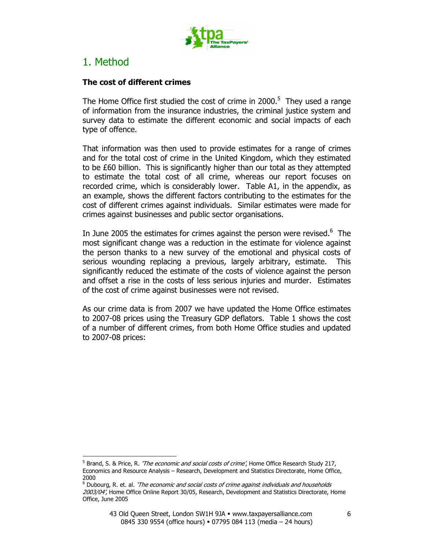

## 1. Method

 $\overline{a}$ 

#### The cost of different crimes

The Home Office first studied the cost of crime in 2000. $5$  They used a range of information from the insurance industries, the criminal justice system and survey data to estimate the different economic and social impacts of each type of offence.

That information was then used to provide estimates for a range of crimes and for the total cost of crime in the United Kingdom, which they estimated to be £60 billion. This is significantly higher than our total as they attempted to estimate the total cost of all crime, whereas our report focuses on recorded crime, which is considerably lower. Table A1, in the appendix, as an example, shows the different factors contributing to the estimates for the cost of different crimes against individuals. Similar estimates were made for crimes against businesses and public sector organisations.

In June 2005 the estimates for crimes against the person were revised. $6$  The most significant change was a reduction in the estimate for violence against the person thanks to a new survey of the emotional and physical costs of serious wounding replacing a previous, largely arbitrary, estimate. This significantly reduced the estimate of the costs of violence against the person and offset a rise in the costs of less serious injuries and murder. Estimates of the cost of crime against businesses were not revised.

As our crime data is from 2007 we have updated the Home Office estimates to 2007-08 prices using the Treasury GDP deflators. Table 1 shows the cost of a number of different crimes, from both Home Office studies and updated to 2007-08 prices:

<sup>&</sup>lt;sup>5</sup> Brand, S. & Price, R. *'The economic and social costs of crime'*, Home Office Research Study 217, Economics and Resource Analysis – Research, Development and Statistics Directorate, Home Office, 2000

 $<sup>6</sup>$  Dubourg, R. et. al. *'The economic and social costs of crime against individuals and households*</sup> 2003/04', Home Office Online Report 30/05, Research, Development and Statistics Directorate, Home Office, June 2005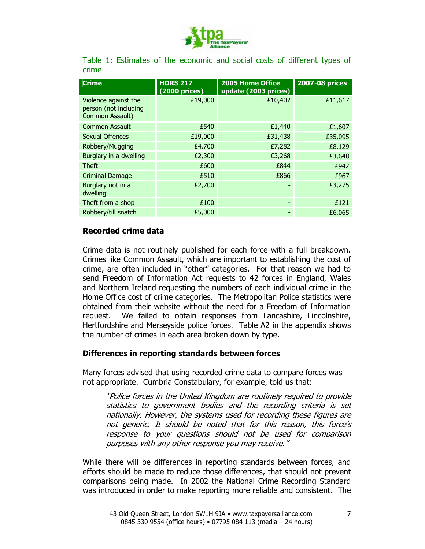

|       | Table 1: Estimates of the economic and social costs of different types of |  |  |  |  |  |
|-------|---------------------------------------------------------------------------|--|--|--|--|--|
| crime |                                                                           |  |  |  |  |  |

| <b>Crime</b>                                                     | <b>HORS 217</b><br>(2000 prices) | 2005 Home Office<br>update (2003 prices) | <b>2007-08 prices</b> |
|------------------------------------------------------------------|----------------------------------|------------------------------------------|-----------------------|
| Violence against the<br>person (not including<br>Common Assault) | £19,000                          | £10,407                                  | £11,617               |
| <b>Common Assault</b>                                            | £540                             | £1,440                                   | £1,607                |
| <b>Sexual Offences</b>                                           | £19,000                          | £31,438                                  | £35,095               |
| Robbery/Mugging                                                  | £4,700                           | £7,282                                   | £8,129                |
| Burglary in a dwelling                                           | £2,300                           | £3,268                                   | £3,648                |
| <b>Theft</b>                                                     | £600                             | £844                                     | £942                  |
| <b>Criminal Damage</b>                                           | £510                             | £866                                     | £967                  |
| Burglary not in a<br>dwelling                                    | £2,700                           |                                          | £3,275                |
| Theft from a shop                                                | £100                             |                                          | £121                  |
| Robbery/till snatch                                              | £5,000                           |                                          | £6,065                |

#### Recorded crime data

Crime data is not routinely published for each force with a full breakdown. Crimes like Common Assault, which are important to establishing the cost of crime, are often included in "other" categories. For that reason we had to send Freedom of Information Act requests to 42 forces in England, Wales and Northern Ireland requesting the numbers of each individual crime in the Home Office cost of crime categories. The Metropolitan Police statistics were obtained from their website without the need for a Freedom of Information request. We failed to obtain responses from Lancashire, Lincolnshire, Hertfordshire and Merseyside police forces. Table A2 in the appendix shows the number of crimes in each area broken down by type.

#### Differences in reporting standards between forces

Many forces advised that using recorded crime data to compare forces was not appropriate. Cumbria Constabulary, for example, told us that:

"Police forces in the United Kingdom are routinely required to provide statistics to government bodies and the recording criteria is set nationally. However, the systems used for recording these figures are not generic. It should be noted that for this reason, this force's response to your questions should not be used for comparison purposes with any other response you may receive."

While there will be differences in reporting standards between forces, and efforts should be made to reduce those differences, that should not prevent comparisons being made. In 2002 the National Crime Recording Standard was introduced in order to make reporting more reliable and consistent. The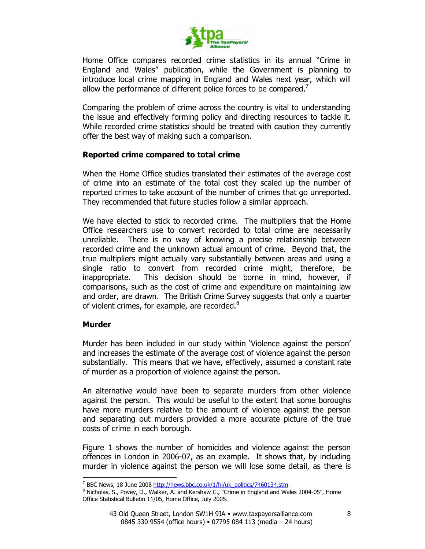

Home Office compares recorded crime statistics in its annual "Crime in England and Wales" publication, while the Government is planning to introduce local crime mapping in England and Wales next year, which will allow the performance of different police forces to be compared.<sup>7</sup>

Comparing the problem of crime across the country is vital to understanding the issue and effectively forming policy and directing resources to tackle it. While recorded crime statistics should be treated with caution they currently offer the best way of making such a comparison.

#### Reported crime compared to total crime

When the Home Office studies translated their estimates of the average cost of crime into an estimate of the total cost they scaled up the number of reported crimes to take account of the number of crimes that go unreported. They recommended that future studies follow a similar approach.

We have elected to stick to recorded crime. The multipliers that the Home Office researchers use to convert recorded to total crime are necessarily unreliable. There is no way of knowing a precise relationship between recorded crime and the unknown actual amount of crime. Beyond that, the true multipliers might actually vary substantially between areas and using a single ratio to convert from recorded crime might, therefore, be inappropriate. This decision should be borne in mind, however, if comparisons, such as the cost of crime and expenditure on maintaining law and order, are drawn. The British Crime Survey suggests that only a quarter of violent crimes, for example, are recorded.<sup>8</sup>

#### Murder

 $\overline{a}$ 

Murder has been included in our study within 'Violence against the person' and increases the estimate of the average cost of violence against the person substantially. This means that we have, effectively, assumed a constant rate of murder as a proportion of violence against the person.

An alternative would have been to separate murders from other violence against the person. This would be useful to the extent that some boroughs have more murders relative to the amount of violence against the person and separating out murders provided a more accurate picture of the true costs of crime in each borough.

Figure 1 shows the number of homicides and violence against the person offences in London in 2006-07, as an example. It shows that, by including murder in violence against the person we will lose some detail, as there is

<sup>&</sup>lt;sup>7</sup> BBC News, 18 June 2008 http://news.bbc.co.uk/1/hi/uk\_politics/7460134.stm

<sup>&</sup>lt;sup>8</sup> Nicholas, S., Povey, D., Walker, A. and Kershaw C., "Crime in England and Wales 2004-05", Home Office Statistical Bulletin 11/05, Home Office, July 2005.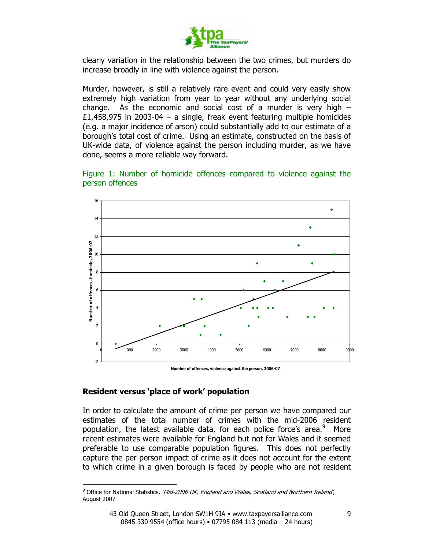

clearly variation in the relationship between the two crimes, but murders do increase broadly in line with violence against the person.

Murder, however, is still a relatively rare event and could very easily show extremely high variation from year to year without any underlying social change. As the economic and social cost of a murder is very high  $-$ £1,458,975 in 2003-04 – a single, freak event featuring multiple homicides (e.g. a major incidence of arson) could substantially add to our estimate of a borough's total cost of crime. Using an estimate, constructed on the basis of UK-wide data, of violence against the person including murder, as we have done, seems a more reliable way forward.





#### Resident versus 'place of work' population

 $\overline{a}$ 

In order to calculate the amount of crime per person we have compared our estimates of the total number of crimes with the mid-2006 resident population, the latest available data, for each police force's area.<sup>9</sup> More recent estimates were available for England but not for Wales and it seemed preferable to use comparable population figures. This does not perfectly capture the per person impact of crime as it does not account for the extent to which crime in a given borough is faced by people who are not resident

<sup>&</sup>lt;sup>9</sup> Office for National Statistics, 'Mid-2006 UK, England and Wales, Scotland and Northern Ireland', August 2007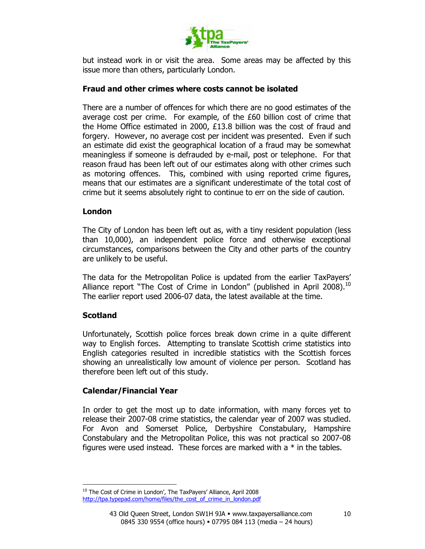

but instead work in or visit the area. Some areas may be affected by this issue more than others, particularly London.

#### Fraud and other crimes where costs cannot be isolated

There are a number of offences for which there are no good estimates of the average cost per crime. For example, of the £60 billion cost of crime that the Home Office estimated in 2000, £13.8 billion was the cost of fraud and forgery. However, no average cost per incident was presented. Even if such an estimate did exist the geographical location of a fraud may be somewhat meaningless if someone is defrauded by e-mail, post or telephone. For that reason fraud has been left out of our estimates along with other crimes such as motoring offences. This, combined with using reported crime figures, means that our estimates are a significant underestimate of the total cost of crime but it seems absolutely right to continue to err on the side of caution.

#### London

The City of London has been left out as, with a tiny resident population (less than 10,000), an independent police force and otherwise exceptional circumstances, comparisons between the City and other parts of the country are unlikely to be useful.

The data for the Metropolitan Police is updated from the earlier TaxPayers' Alliance report "The Cost of Crime in London" (published in April 2008). $^{10}$ The earlier report used 2006-07 data, the latest available at the time.

#### **Scotland**

 $\overline{a}$ 

Unfortunately, Scottish police forces break down crime in a quite different way to English forces. Attempting to translate Scottish crime statistics into English categories resulted in incredible statistics with the Scottish forces showing an unrealistically low amount of violence per person. Scotland has therefore been left out of this study.

#### Calendar/Financial Year

In order to get the most up to date information, with many forces yet to release their 2007-08 crime statistics, the calendar year of 2007 was studied. For Avon and Somerset Police, Derbyshire Constabulary, Hampshire Constabulary and the Metropolitan Police, this was not practical so 2007-08 figures were used instead. These forces are marked with a  $*$  in the tables.

<sup>&</sup>lt;sup>10</sup> The Cost of Crime in London', The TaxPayers' Alliance, April 2008 http://tpa.typepad.com/home/files/the\_cost\_of\_crime\_in\_london.pdf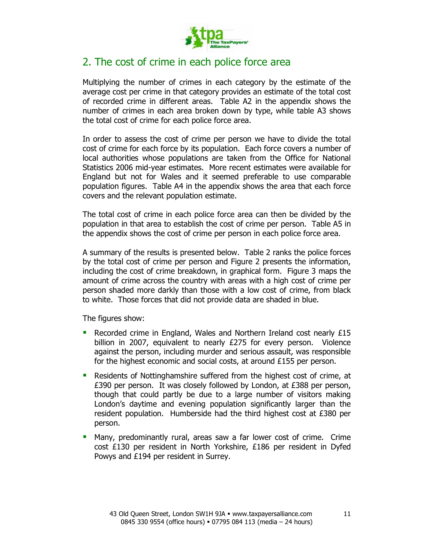

# 2. The cost of crime in each police force area

Multiplying the number of crimes in each category by the estimate of the average cost per crime in that category provides an estimate of the total cost of recorded crime in different areas. Table A2 in the appendix shows the number of crimes in each area broken down by type, while table A3 shows the total cost of crime for each police force area.

In order to assess the cost of crime per person we have to divide the total cost of crime for each force by its population. Each force covers a number of local authorities whose populations are taken from the Office for National Statistics 2006 mid-year estimates. More recent estimates were available for England but not for Wales and it seemed preferable to use comparable population figures. Table A4 in the appendix shows the area that each force covers and the relevant population estimate.

The total cost of crime in each police force area can then be divided by the population in that area to establish the cost of crime per person. Table A5 in the appendix shows the cost of crime per person in each police force area.

A summary of the results is presented below. Table 2 ranks the police forces by the total cost of crime per person and Figure 2 presents the information, including the cost of crime breakdown, in graphical form. Figure 3 maps the amount of crime across the country with areas with a high cost of crime per person shaded more darkly than those with a low cost of crime, from black to white. Those forces that did not provide data are shaded in blue.

The figures show:

- Recorded crime in England, Wales and Northern Ireland cost nearly £15 billion in 2007, equivalent to nearly £275 for every person. Violence against the person, including murder and serious assault, was responsible for the highest economic and social costs, at around £155 per person.
- Residents of Nottinghamshire suffered from the highest cost of crime, at £390 per person. It was closely followed by London, at £388 per person, though that could partly be due to a large number of visitors making London's daytime and evening population significantly larger than the resident population. Humberside had the third highest cost at £380 per person.
- Many, predominantly rural, areas saw a far lower cost of crime. Crime cost £130 per resident in North Yorkshire, £186 per resident in Dyfed Powys and £194 per resident in Surrey.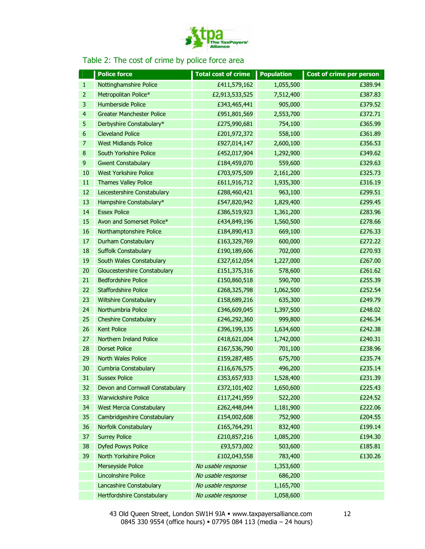

#### Table 2: The cost of crime by police force area

|                         | <b>Police force</b>               | <b>Total cost of crime</b> | <b>Population</b> | Cost of crime per person |
|-------------------------|-----------------------------------|----------------------------|-------------------|--------------------------|
| $\mathbf{1}$            | Nottinghamshire Police            | £411,579,162               | 1,055,500         | £389.94                  |
| $\overline{2}$          | Metropolitan Police*              | £2,913,533,525             | 7,512,400         | £387.83                  |
| 3                       | Humberside Police                 | £343,465,441               | 905,000           | £379.52                  |
| $\overline{\mathbf{r}}$ | <b>Greater Manchester Police</b>  | £951,801,569               | 2,553,700         | £372.71                  |
| 5                       | Derbyshire Constabulary*          | £275,990,681               | 754,100           | £365.99                  |
| 6                       | <b>Cleveland Police</b>           | £201,972,372               | 558,100           | £361.89                  |
| 7                       | <b>West Midlands Police</b>       | £927,014,147               | 2,600,100         | £356.53                  |
| 8                       | South Yorkshire Police            | £452,017,904               | 1,292,900         | £349.62                  |
| 9                       | <b>Gwent Constabulary</b>         | £184,459,070               | 559,600           | £329.63                  |
| 10                      | <b>West Yorkshire Police</b>      | £703,975,509               | 2,161,200         | £325.73                  |
| 11                      | <b>Thames Valley Police</b>       | £611,916,712               | 1,935,300         | £316.19                  |
| 12                      | Leicestershire Constabulary       | £288,460,421               | 963,100           | £299.51                  |
| 13                      | Hampshire Constabulary*           | £547,820,942               | 1,829,400         | £299.45                  |
| 14                      | <b>Essex Police</b>               | £386,519,923               | 1,361,200         | £283.96                  |
| 15                      | Avon and Somerset Police*         | £434,849,196               | 1,560,500         | £278.66                  |
| 16                      | Northamptonshire Police           | £184,890,413               | 669,100           | £276.33                  |
| 17                      | <b>Durham Constabulary</b>        | £163,329,769               | 600,000           | £272.22                  |
| 18                      | <b>Suffolk Constabulary</b>       | £190,189,606               | 702,000           | £270.93                  |
| 19                      | South Wales Constabulary          | £327,612,054               | 1,227,000         | £267.00                  |
| 20                      | Gloucestershire Constabulary      | £151,375,316               | 578,600           | £261.62                  |
| 21                      | <b>Bedfordshire Police</b>        | £150,860,518               | 590,700           | £255.39                  |
| 22                      | <b>Staffordshire Police</b>       | £268,325,798               | 1,062,500         | £252.54                  |
| 23                      | <b>Wiltshire Constabulary</b>     | £158,689,216               | 635,300           | £249.79                  |
| 24                      | Northumbria Police                | £346,609,045               | 1,397,500         | £248.02                  |
| 25                      | <b>Cheshire Constabulary</b>      | £246,292,360               | 999,800           | £246.34                  |
| 26                      | <b>Kent Police</b>                | £396,199,135               | 1,634,600         | £242.38                  |
| 27                      | Northern Ireland Police           | £418,621,004               | 1,742,000         | £240.31                  |
| 28                      | <b>Dorset Police</b>              | £167,536,790               | 701,100           | £238.96                  |
| 29                      | North Wales Police                | £159,287,485               | 675,700           | £235.74                  |
| 30                      | Cumbria Constabulary              | £116,676,575               | 496,200           | £235.14                  |
| 31                      | <b>Sussex Police</b>              | £353,657,933               | 1,528,400         | £231.39                  |
| 32                      | Devon and Cornwall Constabulary   | £372,101,402               | 1,650,600         | £225.43                  |
| 33                      | <b>Warwickshire Police</b>        | £117,241,959               | 522,200           | £224.52                  |
| 34                      | <b>West Mercia Constabulary</b>   | £262,448,044               | 1,181,900         | £222.06                  |
| 35                      | Cambridgeshire Constabulary       | £154,002,608               | 752,900           | £204.55                  |
| 36                      | Norfolk Constabulary              | £165,764,291               | 832,400           | £199.14                  |
| 37                      | <b>Surrey Police</b>              | £210,857,216               | 1,085,200         | £194.30                  |
| 38                      | <b>Dyfed Powys Police</b>         | £93,573,002                | 503,600           | £185.81                  |
| 39                      | North Yorkshire Police            | £102,043,558               | 783,400           | £130.26                  |
|                         | Merseyside Police                 | No usable response         | 1,353,600         |                          |
|                         | Lincolnshire Police               | No usable response         | 686,200           |                          |
|                         | Lancashire Constabulary           | No usable response         | 1,165,700         |                          |
|                         | <b>Hertfordshire Constabulary</b> | No usable response         | 1,058,600         |                          |

43 Old Queen Street, London SW1H 9JA · www.taxpayersalliance.com 0845 330 9554 (office hours) = 07795 084 113 (media - 24 hours)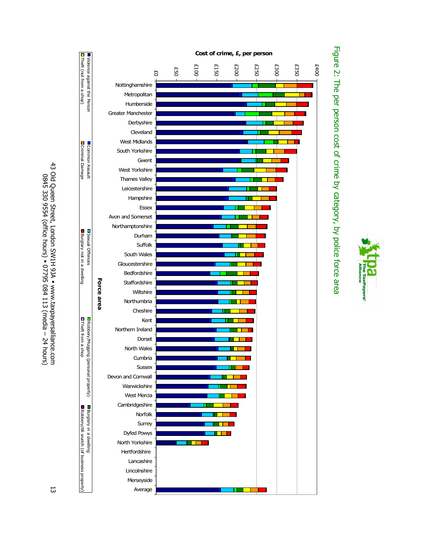Payers'





43 Old Queen Street, London SW1H 9JA 43 Old Queen Street, London SW1H 9JA . www.taxpayersalliance.com www.taxpayersalliance.com 0845 330 9554 (office hours) 0845 330 9554 (office hours) = 07795 084 113 (media - 24 hours) 07795 084 113 (media – 24 hours)

13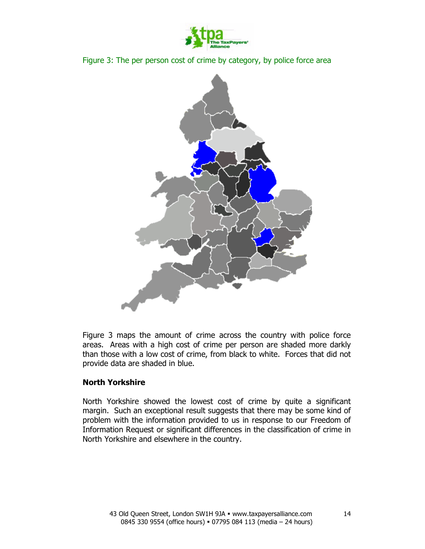





Figure 3 maps the amount of crime across the country with police force areas. Areas with a high cost of crime per person are shaded more darkly than those with a low cost of crime, from black to white. Forces that did not provide data are shaded in blue.

#### North Yorkshire

North Yorkshire showed the lowest cost of crime by quite a significant margin. Such an exceptional result suggests that there may be some kind of problem with the information provided to us in response to our Freedom of Information Request or significant differences in the classification of crime in North Yorkshire and elsewhere in the country.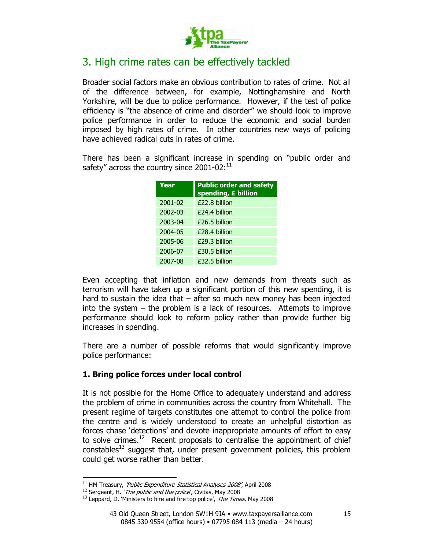

# 3. High crime rates can be effectively tackled

Broader social factors make an obvious contribution to rates of crime. Not all of the difference between, for example, Nottinghamshire and North Yorkshire, will be due to police performance. However, if the test of police efficiency is "the absence of crime and disorder" we should look to improve police performance in order to reduce the economic and social burden imposed by high rates of crime. In other countries new ways of policing have achieved radical cuts in rates of crime.

There has been a significant increase in spending on "public order and safety" across the country since  $2001-02$ :<sup>11</sup>

| Year    | <b>Public order and safety</b><br>spending, £ billion |
|---------|-------------------------------------------------------|
| 2001-02 | £22.8 billion                                         |
| 2002-03 | £24.4 billion                                         |
| 2003-04 | £26.5 billion                                         |
| 2004-05 | £28.4 billion                                         |
| 2005-06 | £29.3 billion                                         |
| 2006-07 | £30.5 billion                                         |
| 2007-08 | £32.5 billion                                         |

Even accepting that inflation and new demands from threats such as terrorism will have taken up a significant portion of this new spending, it is hard to sustain the idea that – after so much new money has been injected into the system – the problem is a lack of resources. Attempts to improve performance should look to reform policy rather than provide further big increases in spending.

There are a number of possible reforms that would significantly improve police performance:

#### 1. Bring police forces under local control

It is not possible for the Home Office to adequately understand and address the problem of crime in communities across the country from Whitehall. The present regime of targets constitutes one attempt to control the police from the centre and is widely understood to create an unhelpful distortion as forces chase 'detections' and devote inappropriate amounts of effort to easy to solve crimes.<sup>12</sup> Recent proposals to centralise the appointment of chief constables<sup>13</sup> suggest that, under present government policies, this problem could get worse rather than better.

 $\overline{a}$ 

 $11$  HM Treasury, 'Public Expenditure Statistical Analyses 2008', April 2008

<sup>&</sup>lt;sup>12</sup> Sergeant, H. '*The public and the police*', Civitas, May 2008

 $13$  Leppard, D. 'Ministers to hire and fire top police', The Times, May 2008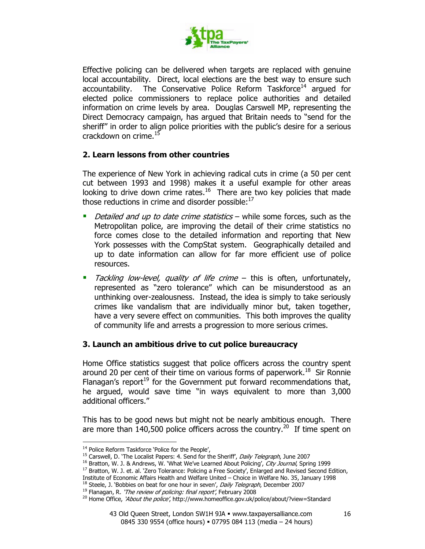

Effective policing can be delivered when targets are replaced with genuine local accountability. Direct, local elections are the best way to ensure such accountability. The Conservative Police Reform Taskforce<sup>14</sup> argued for elected police commissioners to replace police authorities and detailed information on crime levels by area. Douglas Carswell MP, representing the Direct Democracy campaign, has argued that Britain needs to "send for the sheriff" in order to align police priorities with the public's desire for a serious crackdown on crime.<sup>15</sup>

#### 2. Learn lessons from other countries

The experience of New York in achieving radical cuts in crime (a 50 per cent cut between 1993 and 1998) makes it a useful example for other areas looking to drive down crime rates.<sup>16</sup> There are two key policies that made those reductions in crime and disorder possible: $^{17}$ 

- Detailed and up to date crime statistics while some forces, such as the Metropolitan police, are improving the detail of their crime statistics no force comes close to the detailed information and reporting that New York possesses with the CompStat system. Geographically detailed and up to date information can allow for far more efficient use of police resources.
- Tackling low-level, quality of life crime this is often, unfortunately, represented as "zero tolerance" which can be misunderstood as an unthinking over-zealousness. Instead, the idea is simply to take seriously crimes like vandalism that are individually minor but, taken together, have a very severe effect on communities. This both improves the quality of community life and arrests a progression to more serious crimes.

#### 3. Launch an ambitious drive to cut police bureaucracy

Home Office statistics suggest that police officers across the country spent around 20 per cent of their time on various forms of paperwork.<sup>18</sup> Sir Ronnie Flanagan's report<sup>19</sup> for the Government put forward recommendations that, he argued, would save time "in ways equivalent to more than 3,000 additional officers."

This has to be good news but might not be nearly ambitious enough. There are more than  $140,500$  police officers across the country.<sup>20</sup> If time spent on

 $\overline{a}$ 

<sup>&</sup>lt;sup>14</sup> Police Reform Taskforce 'Police for the People',

<sup>&</sup>lt;sup>15</sup> Carswell, D. 'The Localist Papers: 4. Send for the Sheriff', Daily Telegraph, June 2007

<sup>&</sup>lt;sup>16</sup> Bratton, W. J. & Andrews, W. 'What We've Learned About Policing', City Journal, Spring 1999

<sup>&</sup>lt;sup>17</sup> Bratton, W. J. et. al. 'Zero Tolerance: Policing a Free Society', Enlarged and Revised Second Edition,

Institute of Economic Affairs Health and Welfare United – Choice in Welfare No. 35, January 1998

<sup>&</sup>lt;sup>18</sup> Steele, J. 'Bobbies on beat for one hour in seven', Daily Telegraph, December 2007

 $19$  Flanagan, R. 'The review of policing: final report', February 2008

<sup>&</sup>lt;sup>20</sup> Home Office, 'About the police', http://www.homeoffice.gov.uk/police/about/?view=Standard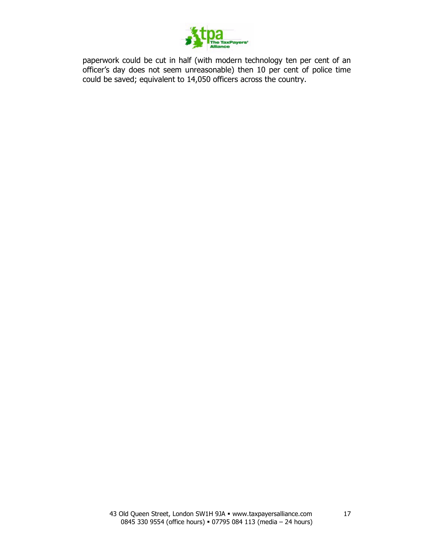

paperwork could be cut in half (with modern technology ten per cent of an officer's day does not seem unreasonable) then 10 per cent of police time could be saved; equivalent to 14,050 officers across the country.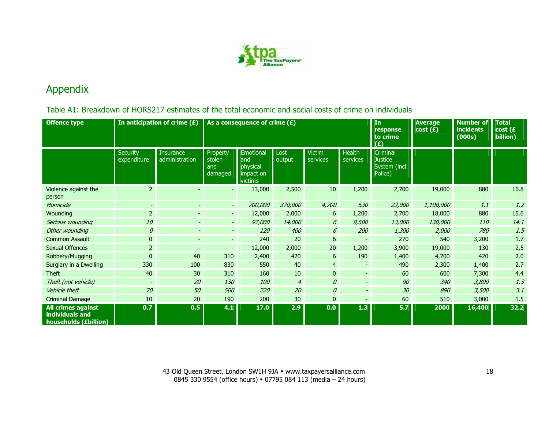

# Appendix

### Table A1: Breakdown of HORS217 estimates of the total economic and social costs of crime on individuals

| <b>Offence type</b>                                                   |                         | In anticipation of crime $(E)$<br>As a consequence of crime $(E)$ |                                      |                                                      |                | In<br>response<br>to crime<br>(E) | <b>Average</b><br>cost(E) | <b>Number of</b><br><b>incidents</b><br>(000s)         | <b>Total</b><br>cost(E)<br>billion) |        |      |
|-----------------------------------------------------------------------|-------------------------|-------------------------------------------------------------------|--------------------------------------|------------------------------------------------------|----------------|-----------------------------------|---------------------------|--------------------------------------------------------|-------------------------------------|--------|------|
|                                                                       | Security<br>expenditure | <b>Insurance</b><br>administration                                | Property<br>stolen<br>and<br>damaged | Emotional<br>and<br>physical<br>impact on<br>victims | Lost<br>output | <b>Victim</b><br>services         | <b>Health</b><br>services | Criminal<br><b>Justice</b><br>System (incl.<br>Police) |                                     |        |      |
| Violence against the<br>person                                        | $\overline{2}$          |                                                                   |                                      | 13,000                                               | 2,500          | 10                                | 1,200                     | 2,700                                                  | 19,000                              | 880    | 16.8 |
| Homicide                                                              | $\sim$                  | $\sim$                                                            | $\sim$                               | 700,000                                              | <i>370,000</i> | 4,700                             | 630                       | 22,000                                                 | <i>1,100,000</i>                    | 1.1    | 1.2  |
| Wounding                                                              | $\overline{2}$          | ÷.                                                                | $\sim$                               | 12,000                                               | 2,000          | 6                                 | 1,200                     | 2,700                                                  | 18,000                              | 880    | 15.6 |
| Serious wounding                                                      | 10                      | ÷,                                                                | $\overline{\phantom{a}}$             | 97,000                                               | 14,000         | 6                                 | 8,500                     | 13,000                                                 | 130,000                             | 110    | 14.1 |
| Other wounding                                                        | $\mathcal O$            | $\overline{\phantom{a}}$                                          | $\overline{\phantom{a}}$             | <b>120</b>                                           | 400            | 6                                 | 200                       | 1,300                                                  | 2,000                               | 780    | 1.5  |
| <b>Common Assault</b>                                                 | $\pmb{0}$               | $\equiv$                                                          | $\sim$                               | 240                                                  | 20             | 6                                 | $\blacksquare$            | 270                                                    | 540                                 | 3,200  | 1.7  |
| <b>Sexual Offences</b>                                                | $\overline{2}$          | $\sim$                                                            | ۰.                                   | 12,000                                               | 2,000          | 20                                | 1,200                     | 3,900                                                  | 19,000                              | 130    | 2.5  |
| Robbery/Mugging                                                       | $\mathbf{0}$            | 40                                                                | 310                                  | 2,400                                                | 420            | 6                                 | 190                       | 1,400                                                  | 4,700                               | 420    | 2.0  |
| Burglary in a Dwelling                                                | 330                     | 100                                                               | 830                                  | 550                                                  | 40             | $\overline{4}$                    | $\equiv$                  | 490                                                    | 2,300                               | 1,400  | 2.7  |
| <b>Theft</b>                                                          | 40                      | 30                                                                | 310                                  | 160                                                  | 10             | $\mathbf{0}$                      | $\omega_{\rm c}$          | 60                                                     | 600                                 | 7,300  | 4.4  |
| Theft (not vehicle)                                                   | $\sim$                  | 20                                                                | 130                                  | 100                                                  | $\overline{4}$ | $\mathcal{O}$                     | $\mathbb{L}^+$            | 90                                                     | 340                                 | 3,800  | 1.3  |
| Vehicle theft                                                         | 70                      | 50                                                                | 500                                  | 220                                                  | 20             | $\theta$                          | $\sim$                    | 30                                                     | 890                                 | 3,500  | 3.1  |
| <b>Criminal Damage</b>                                                | 10                      | 20                                                                | 190                                  | 200                                                  | 30             | $\overline{0}$                    | $\blacksquare$            | 60                                                     | 510                                 | 3,000  | 1.5  |
| <b>All crimes against</b><br>individuals and<br>households (£billion) | 0.7                     | 0.5                                                               | 4.1                                  | 17.0                                                 | 2.9            | 0.0                               | 1.3                       | 5.7                                                    | 2000                                | 16,400 | 32.2 |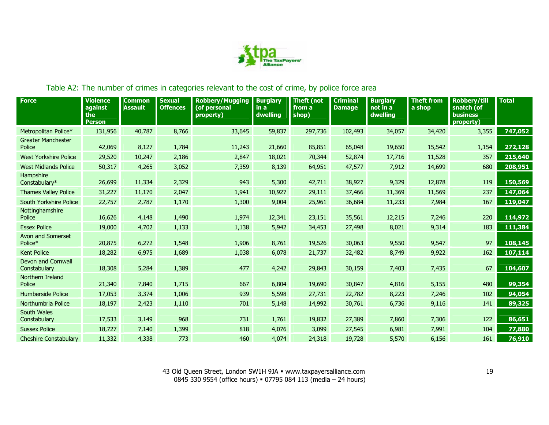

## Table A2: The number of crimes in categories relevant to the cost of crime, by police force area

| <b>Force</b>                              | <b>Violence</b><br>against<br>the<br><b>Person</b> | <b>Common</b><br><b>Assault</b> | <b>Sexual</b><br><b>Offences</b> | <b>Robbery/Mugging</b><br>(of personal<br>property) | <b>Burglary</b><br>in a<br>dwelling | Theft (not<br>from a<br>shop) | <b>Criminal</b><br><b>Damage</b> | <b>Burglary</b><br>not in a<br>dwelling | <b>Theft from</b><br>a shop | <b>Robbery/till</b><br>snatch (of<br><b>business</b><br>property) | <b>Total</b> |
|-------------------------------------------|----------------------------------------------------|---------------------------------|----------------------------------|-----------------------------------------------------|-------------------------------------|-------------------------------|----------------------------------|-----------------------------------------|-----------------------------|-------------------------------------------------------------------|--------------|
| Metropolitan Police*                      | 131,956                                            | 40,787                          | 8,766                            | 33,645                                              | 59,837                              | 297,736                       | 102,493                          | 34,057                                  | 34,420                      | 3,355                                                             | 747,052      |
| <b>Greater Manchester</b><br>Police       | 42,069                                             | 8,127                           | 1,784                            | 11,243                                              | 21,660                              | 85,851                        | 65,048                           | 19,650                                  | 15,542                      | 1,154                                                             | 272,128      |
| <b>West Yorkshire Police</b>              | 29,520                                             | 10,247                          | 2,186                            | 2,847                                               | 18,021                              | 70,344                        | 52,874                           | 17,716                                  | 11,528                      | 357                                                               | 215,640      |
| <b>West Midlands Police</b>               | 50,317                                             | 4,265                           | 3,052                            | 7,359                                               | 8,139                               | 64,951                        | 47,577                           | 7,912                                   | 14,699                      | 680                                                               | 208,951      |
| Hampshire<br>Constabulary*                | 26,699                                             | 11,334                          | 2,329                            | 943                                                 | 5,300                               | 42,711                        | 38,927                           | 9,329                                   | 12,878                      | 119                                                               | 150,569      |
| <b>Thames Valley Police</b>               | 31,227                                             | 11,170                          | 2,047                            | 1,941                                               | 10,927                              | 29,111                        | 37,466                           | 11,369                                  | 11,569                      | 237                                                               | 147,064      |
| South Yorkshire Police                    | 22,757                                             | 2,787                           | 1,170                            | 1,300                                               | 9,004                               | 25,961                        | 36,684                           | 11,233                                  | 7,984                       | 167                                                               | 119,047      |
| Nottinghamshire<br>Police                 | 16,626                                             | 4,148                           | 1,490                            | 1,974                                               | 12,341                              | 23,151                        | 35,561                           | 12,215                                  | 7,246                       | 220                                                               | 114,972      |
| <b>Essex Police</b>                       | 19,000                                             | 4,702                           | 1,133                            | 1,138                                               | 5,942                               | 34,453                        | 27,498                           | 8,021                                   | 9,314                       | 183                                                               | 111,384      |
| Avon and Somerset<br>Police*              | 20,875                                             | 6,272                           | 1,548                            | 1,906                                               | 8,761                               | 19,526                        | 30,063                           | 9,550                                   | 9,547                       | 97                                                                | 108,145      |
| <b>Kent Police</b>                        | 18,282                                             | 6,975                           | 1,689                            | 1,038                                               | 6,078                               | 21,737                        | 32,482                           | 8,749                                   | 9,922                       | 162                                                               | 107,114      |
| <b>Devon and Cornwall</b><br>Constabulary | 18,308                                             | 5,284                           | 1,389                            | 477                                                 | 4,242                               | 29,843                        | 30,159                           | 7,403                                   | 7,435                       | 67                                                                | 104,607      |
| Northern Ireland<br>Police                | 21,340                                             | 7,840                           | 1,715                            | 667                                                 | 6,804                               | 19,690                        | 30,847                           | 4,816                                   | 5,155                       | 480                                                               | 99,354       |
| Humberside Police                         | 17,053                                             | 3,374                           | 1,006                            | 939                                                 | 5,598                               | 27,731                        | 22,782                           | 8,223                                   | 7,246                       | 102                                                               | 94,054       |
| Northumbria Police                        | 18,197                                             | 2,423                           | 1,110                            | 701                                                 | 5,148                               | 14,992                        | 30,761                           | 6,736                                   | 9,116                       | 141                                                               | 89,325       |
| South Wales<br>Constabulary               | 17,533                                             | 3,149                           | 968                              | 731                                                 | 1,761                               | 19,832                        | 27,389                           | 7,860                                   | 7,306                       | 122                                                               | 86,651       |
| <b>Sussex Police</b>                      | 18,727                                             | 7,140                           | 1,399                            | 818                                                 | 4,076                               | 3,099                         | 27,545                           | 6,981                                   | 7,991                       | 104                                                               | 77,880       |
| <b>Cheshire Constabulary</b>              | 11,332                                             | 4,338                           | 773                              | 460                                                 | 4,074                               | 24,318                        | 19,728                           | 5,570                                   | 6,156                       | 161                                                               | 76,910       |

43 Old Queen Street, London SW1H 9JA · www.taxpayersalliance.com 0845 330 9554 (office hours) = 07795 084 113 (media – 24 hours)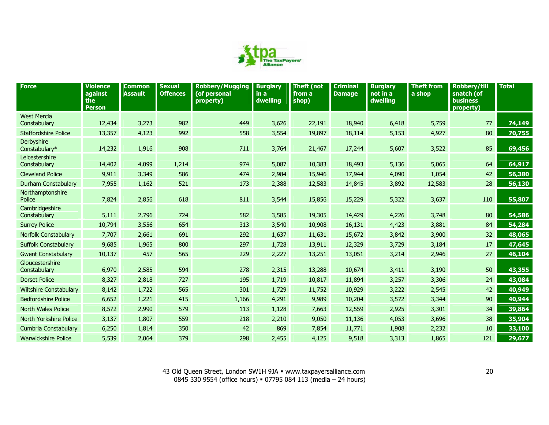

| <b>Force</b>                       | <b>Violence</b><br>against<br>the<br><b>Person</b> | <b>Common</b><br><b>Assault</b> | <b>Sexual</b><br><b>Offences</b> | <b>Robbery/Mugging</b><br>(of personal<br>property) | <b>Burglary</b><br>in a<br>dwelling | <b>Theft (not</b><br>from a<br>shop) | <b>Criminal</b><br><b>Damage</b> | <b>Burglary</b><br>not in a<br>dwelling | <b>Theft from</b><br>a shop | <b>Robbery/till</b><br>snatch (of<br><b>business</b><br>property) | <b>Total</b> |
|------------------------------------|----------------------------------------------------|---------------------------------|----------------------------------|-----------------------------------------------------|-------------------------------------|--------------------------------------|----------------------------------|-----------------------------------------|-----------------------------|-------------------------------------------------------------------|--------------|
| <b>West Mercia</b><br>Constabulary | 12,434                                             | 3,273                           | 982                              | 449                                                 | 3,626                               | 22,191                               | 18,940                           | 6,418                                   | 5,759                       | 77                                                                | 74,149       |
| <b>Staffordshire Police</b>        | 13,357                                             | 4,123                           | 992                              | 558                                                 | 3,554                               | 19,897                               | 18,114                           | 5,153                                   | 4,927                       | 80                                                                | 70,755       |
| Derbyshire<br>Constabulary*        | 14,232                                             | 1,916                           | 908                              | 711                                                 | 3,764                               | 21,467                               | 17,244                           | 5,607                                   | 3,522                       | 85                                                                | 69,456       |
| Leicestershire<br>Constabulary     | 14,402                                             | 4,099                           | 1,214                            | 974                                                 | 5,087                               | 10,383                               | 18,493                           | 5,136                                   | 5,065                       | 64                                                                | 64,917       |
| <b>Cleveland Police</b>            | 9,911                                              | 3,349                           | 586                              | 474                                                 | 2,984                               | 15,946                               | 17,944                           | 4,090                                   | 1,054                       | 42                                                                | 56,380       |
| Durham Constabulary                | 7,955                                              | 1,162                           | 521                              | 173                                                 | 2,388                               | 12,583                               | 14,845                           | 3,892                                   | 12,583                      | 28                                                                | 56,130       |
| Northamptonshire<br>Police         | 7,824                                              | 2,856                           | 618                              | 811                                                 | 3,544                               | 15,856                               | 15,229                           | 5,322                                   | 3,637                       | 110                                                               | 55,807       |
| Cambridgeshire<br>Constabulary     | 5,111                                              | 2,796                           | 724                              | 582                                                 | 3,585                               | 19,305                               | 14,429                           | 4,226                                   | 3,748                       | 80                                                                | 54,586       |
| <b>Surrey Police</b>               | 10,794                                             | 3,556                           | 654                              | 313                                                 | 3,540                               | 10,908                               | 16,131                           | 4,423                                   | 3,881                       | 84                                                                | 54,284       |
| Norfolk Constabulary               | 7,707                                              | 2,661                           | 691                              | 292                                                 | 1,637                               | 11,631                               | 15,672                           | 3,842                                   | 3,900                       | 32                                                                | 48,065       |
| <b>Suffolk Constabulary</b>        | 9,685                                              | 1,965                           | 800                              | 297                                                 | 1,728                               | 13,911                               | 12,329                           | 3,729                                   | 3,184                       | 17                                                                | 47,645       |
| <b>Gwent Constabulary</b>          | 10,137                                             | 457                             | 565                              | 229                                                 | 2,227                               | 13,251                               | 13,051                           | 3,214                                   | 2,946                       | 27                                                                | 46,104       |
| Gloucestershire<br>Constabulary    | 6,970                                              | 2,585                           | 594                              | 278                                                 | 2,315                               | 13,288                               | 10,674                           | 3,411                                   | 3,190                       | 50                                                                | 43,355       |
| <b>Dorset Police</b>               | 8,327                                              | 2,818                           | 727                              | 195                                                 | 1,719                               | 10,817                               | 11,894                           | 3,257                                   | 3,306                       | 24                                                                | 43,084       |
| <b>Wiltshire Constabulary</b>      | 8,142                                              | 1,722                           | 565                              | 301                                                 | 1,729                               | 11,752                               | 10,929                           | 3,222                                   | 2,545                       | 42                                                                | 40,949       |
| <b>Bedfordshire Police</b>         | 6,652                                              | 1,221                           | 415                              | 1,166                                               | 4,291                               | 9,989                                | 10,204                           | 3,572                                   | 3,344                       | 90                                                                | 40,944       |
| <b>North Wales Police</b>          | 8,572                                              | 2,990                           | 579                              | 113                                                 | 1,128                               | 7,663                                | 12,559                           | 2,925                                   | 3,301                       | 34                                                                | 39,864       |
| North Yorkshire Police             | 3,137                                              | 1,807                           | 559                              | 218                                                 | 2,210                               | 9,050                                | 11,136                           | 4,053                                   | 3,696                       | 38                                                                | 35,904       |
| <b>Cumbria Constabulary</b>        | 6,250                                              | 1,814                           | 350                              | 42                                                  | 869                                 | 7,854                                | 11,771                           | 1,908                                   | 2,232                       | 10                                                                | 33,100       |
| <b>Warwickshire Police</b>         | 5,539                                              | 2,064                           | 379                              | 298                                                 | 2,455                               | 4,125                                | 9,518                            | 3,313                                   | 1,865                       | 121                                                               | 29,677       |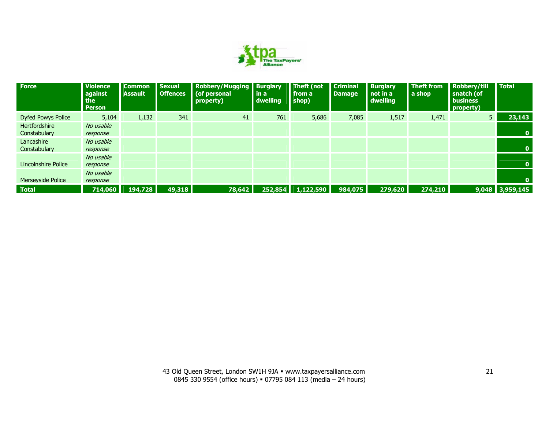

| <b>Force</b>                  | <b>Violence</b><br>against<br>the<br><b>Person</b> | <b>Common</b><br><b>Assault</b> | <b>Sexual</b><br><b>Offences</b> | <b>Robbery/Mugging Burglary</b><br>(of personal<br>property) | in a<br>dwelling | Theft (not<br>from a<br>shop) | <b>Criminal</b><br><b>Damage</b> | <b>Burglary</b><br>not in a<br>dwelling | <b>Theft from</b><br>a shop | <b>Robbery/till</b><br>snatch (of<br><b>business</b><br>property) | <b>Total</b>      |
|-------------------------------|----------------------------------------------------|---------------------------------|----------------------------------|--------------------------------------------------------------|------------------|-------------------------------|----------------------------------|-----------------------------------------|-----------------------------|-------------------------------------------------------------------|-------------------|
| <b>Dyfed Powys Police</b>     | 5,104                                              | 1,132                           | 341                              | 41                                                           | 761              | 5,686                         | 7,085                            | 1,517                                   | 1,471                       | 5 <sub>1</sub>                                                    | 23,143            |
| Hertfordshire<br>Constabulary | No usable<br>response                              |                                 |                                  |                                                              |                  |                               |                                  |                                         |                             |                                                                   | $\mathbf{0}$      |
| Lancashire<br>Constabulary    | No usable<br>response                              |                                 |                                  |                                                              |                  |                               |                                  |                                         |                             |                                                                   | $\mathbf{0}$      |
| Lincolnshire Police           | No usable<br>response                              |                                 |                                  |                                                              |                  |                               |                                  |                                         |                             |                                                                   | $\mathbf{0}$      |
| Merseyside Police             | No usable<br>response                              |                                 |                                  |                                                              |                  |                               |                                  |                                         |                             |                                                                   | O.                |
| <b>Total</b>                  | 714,060                                            | 194,728                         | 49,318                           | 78,642                                                       | 252,854          | 1,122,590                     | 984,075                          | 279,620                                 | 274,210                     |                                                                   | $9,048$ 3,959,145 |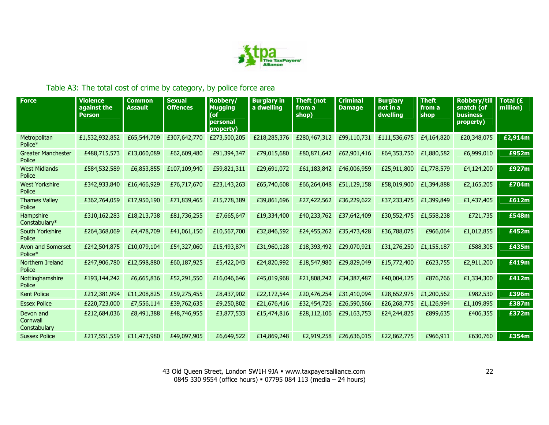

## Table A3: The total cost of crime by category, by police force area

| <b>Force</b>                          | <b>Violence</b><br>against the<br><b>Person</b> | <b>Common</b><br><b>Assault</b> | <b>Sexual</b><br><b>Offences</b> | Robberv/<br><b>Mugging</b><br>(of<br>personal<br>property) | <b>Burglary in</b><br>a dwelling | <b>Theft (not</b><br>from a<br>shop) | <b>Criminal</b><br><b>Damage</b> | <b>Burglary</b><br>not in a<br>dwelling | <b>Theft</b><br>from a<br>shop | <b>Robbery/till</b><br>snatch (of<br><b>business</b><br>property) | Total (£<br>million) |
|---------------------------------------|-------------------------------------------------|---------------------------------|----------------------------------|------------------------------------------------------------|----------------------------------|--------------------------------------|----------------------------------|-----------------------------------------|--------------------------------|-------------------------------------------------------------------|----------------------|
| Metropolitan<br>Police*               | £1,532,932,852                                  | £65,544,709                     | £307,642,770                     | £273,500,205                                               | £218,285,376                     | £280,467,312                         | £99,110,731                      | £111,536,675                            | £4,164,820                     | £20,348,075                                                       | £2,914m              |
| <b>Greater Manchester</b><br>Police   | £488,715,573                                    | £13,060,089                     | £62,609,480                      | £91,394,347                                                | £79,015,680                      | £80,871,642                          | £62,901,416                      | £64,353,750                             | £1,880,582                     | £6,999,010                                                        | £952m                |
| <b>West Midlands</b><br>Police        | £584,532,589                                    | £6,853,855                      | £107,109,940                     | £59,821,311                                                | £29,691,072                      | £61,183,842                          | £46,006,959                      | £25,911,800                             | £1,778,579                     | £4,124,200                                                        | £927m                |
| <b>West Yorkshire</b><br>Police       | £342,933,840                                    | £16,466,929                     | £76,717,670                      | £23,143,263                                                | £65,740,608                      | £66,264,048                          | £51,129,158                      | £58,019,900                             | £1,394,888                     | £2,165,205                                                        | £704m                |
| <b>Thames Valley</b><br>Police        | £362,764,059                                    | £17,950,190                     | £71,839,465                      | £15,778,389                                                | £39,861,696                      | £27,422,562                          | £36,229,622                      | £37,233,475                             | £1,399,849                     | £1,437,405                                                        | £612m                |
| Hampshire<br>Constabulary*            | £310,162,283                                    | £18,213,738                     | £81,736,255                      | £7,665,647                                                 | £19,334,400                      | £40,233,762                          | £37,642,409                      | £30,552,475                             | £1,558,238                     | £721,735                                                          | £548m                |
| South Yorkshire<br>Police             | £264,368,069                                    | £4,478,709                      | £41,061,150                      | £10,567,700                                                | £32,846,592                      | £24,455,262                          | £35,473,428                      | £36,788,075                             | £966,064                       | £1,012,855                                                        | £452m                |
| Avon and Somerset<br>Police*          | £242,504,875                                    | £10,079,104                     | £54,327,060                      | £15,493,874                                                | £31,960,128                      | £18,393,492                          | £29,070,921                      | £31,276,250                             | £1,155,187                     | £588,305                                                          | £435m                |
| Northern Ireland<br>Police            | £247,906,780                                    | £12,598,880                     | £60,187,925                      | £5,422,043                                                 | £24,820,992                      | £18,547,980                          | £29,829,049                      | £15,772,400                             | £623,755                       | £2,911,200                                                        | £419m                |
| Nottinghamshire<br>Police             | £193,144,242                                    | £6,665,836                      | £52,291,550                      | £16,046,646                                                | £45,019,968                      | £21,808,242                          | £34,387,487                      | £40,004,125                             | £876,766                       | £1,334,300                                                        | £412m                |
| <b>Kent Police</b>                    | £212,381,994                                    | £11,208,825                     | £59,275,455                      | £8,437,902                                                 | £22,172,544                      | £20,476,254                          | £31,410,094                      | £28,652,975                             | £1,200,562                     | £982,530                                                          | £396m                |
| <b>Essex Police</b>                   | £220,723,000                                    | £7,556,114                      | £39,762,635                      | £9,250,802                                                 | £21,676,416                      | £32,454,726                          | £26,590,566                      | £26,268,775                             | £1,126,994                     | £1,109,895                                                        | £387m                |
| Devon and<br>Cornwall<br>Constabulary | £212,684,036                                    | £8,491,388                      | £48,746,955                      | £3,877,533                                                 | £15,474,816                      | £28,112,106                          | £29,163,753                      | £24,244,825                             | £899,635                       | £406,355                                                          | £372m                |
| <b>Sussex Police</b>                  | £217,551,559                                    | £11,473,980                     | £49,097,905                      | £6,649,522                                                 | £14,869,248                      | £2,919,258                           | £26,636,015                      | £22,862,775                             | £966,911                       | £630,760                                                          | £354m                |

43 Old Queen Street, London SW1H 9JA · www.taxpayersalliance.com 0845 330 9554 (office hours) = 07795 084 113 (media – 24 hours)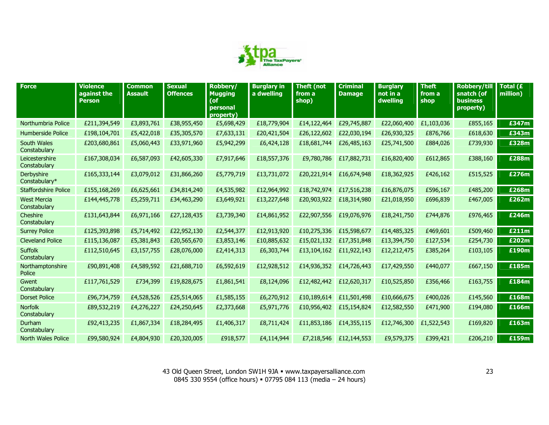

| <b>Force</b>                       | <b>Violence</b><br>against the<br><b>Person</b> | <b>Common</b><br><b>Assault</b> | <b>Sexual</b><br><b>Offences</b> | Robbery/<br><b>Mugging</b><br>(of<br>personal<br>property) | <b>Burglary in</b><br>a dwelling | <b>Theft (not</b><br>from a<br>shop) | <b>Criminal</b><br><b>Damage</b> | <b>Burglary</b><br>not in a<br>dwelling | <b>Theft</b><br>from a<br>shop | <b>Robbery/till</b><br>snatch (of<br>business<br>property) | Total (£<br>million) |
|------------------------------------|-------------------------------------------------|---------------------------------|----------------------------------|------------------------------------------------------------|----------------------------------|--------------------------------------|----------------------------------|-----------------------------------------|--------------------------------|------------------------------------------------------------|----------------------|
| Northumbria Police                 | £211,394,549                                    | £3,893,761                      | £38,955,450                      | £5,698,429                                                 | £18,779,904                      | £14,122,464                          | £29,745,887                      | £22,060,400                             | £1,103,036                     | £855,165                                                   | £347m                |
| Humberside Police                  | £198,104,701                                    | £5,422,018                      | £35,305,570                      | £7,633,131                                                 | £20,421,504                      | £26,122,602                          | £22,030,194                      | £26,930,325                             | £876,766                       | £618,630                                                   | £343m                |
| South Wales<br>Constabulary        | £203,680,861                                    | £5,060,443                      | £33,971,960                      | £5,942,299                                                 | £6,424,128                       | £18,681,744                          | £26,485,163                      | £25,741,500                             | £884,026                       | £739,930                                                   | £328m                |
| Leicestershire<br>Constabulary     | £167,308,034                                    | £6,587,093                      | £42,605,330                      | £7,917,646                                                 | £18,557,376                      | £9,780,786                           | £17,882,731                      | £16,820,400                             | £612,865                       | £388,160                                                   | £288m                |
| Derbyshire<br>Constabulary*        | £165,333,144                                    | £3,079,012                      | £31,866,260                      | £5,779,719                                                 | £13,731,072                      | £20,221,914                          | £16,674,948                      | £18,362,925                             | £426,162                       | £515,525                                                   | £276m                |
| <b>Staffordshire Police</b>        | £155,168,269                                    | £6,625,661                      | £34,814,240                      | £4,535,982                                                 | £12,964,992                      | £18,742,974                          | £17,516,238                      | £16,876,075                             | £596,167                       | £485,200                                                   | £268m                |
| <b>West Mercia</b><br>Constabulary | £144,445,778                                    | £5,259,711                      | £34,463,290                      | £3,649,921                                                 | £13,227,648                      | £20,903,922                          | £18,314,980                      | £21,018,950                             | £696,839                       | £467,005                                                   | £262m                |
| Cheshire<br>Constabulary           | £131,643,844                                    | £6,971,166                      | £27,128,435                      | £3,739,340                                                 | £14,861,952                      | £22,907,556                          | £19,076,976                      | £18,241,750                             | £744,876                       | £976,465                                                   | £246m                |
| <b>Surrey Police</b>               | £125,393,898                                    | £5,714,492                      | £22,952,130                      | £2,544,377                                                 | £12,913,920                      | £10,275,336                          | £15,598,677                      | £14,485,325                             | £469,601                       | £509,460                                                   | £211m                |
| <b>Cleveland Police</b>            | £115,136,087                                    | £5,381,843                      | £20,565,670                      | £3,853,146                                                 | £10,885,632                      | £15,021,132                          | £17,351,848                      | £13,394,750                             | £127,534                       | £254,730                                                   | £202m                |
| <b>Suffolk</b><br>Constabulary     | £112,510,645                                    | £3,157,755                      | £28,076,000                      | £2,414,313                                                 | £6,303,744                       | £13,104,162                          | £11,922,143                      | £12,212,475                             | £385,264                       | £103,105                                                   | £190m                |
| Northamptonshire<br>Police         | £90,891,408                                     | £4,589,592                      | £21,688,710                      | £6,592,619                                                 | £12,928,512                      | £14,936,352                          | £14,726,443                      | £17,429,550                             | £440,077                       | £667,150                                                   | £185m                |
| Gwent<br>Constabulary              | £117,761,529                                    | £734,399                        | £19,828,675                      | £1,861,541                                                 | £8,124,096                       | £12,482,442                          | £12,620,317                      | £10,525,850                             | £356,466                       | £163,755                                                   | £184m                |
| <b>Dorset Police</b>               | £96,734,759                                     | £4,528,526                      | £25,514,065                      | £1,585,155                                                 | £6,270,912                       | £10,189,614                          | £11,501,498                      | £10,666,675                             | £400,026                       | £145,560                                                   | £168m                |
| <b>Norfolk</b><br>Constabulary     | £89,532,219                                     | £4,276,227                      | £24,250,645                      | £2,373,668                                                 | £5,971,776                       | £10,956,402                          | £15,154,824                      | £12,582,550                             | £471,900                       | £194,080                                                   | £166m                |
| Durham<br>Constabulary             | £92,413,235                                     | £1,867,334                      | £18,284,495                      | £1,406,317                                                 | £8,711,424                       | £11,853,186                          | £14,355,115                      | £12,746,300                             | £1,522,543                     | £169,820                                                   | £163m                |
| North Wales Police                 | £99,580,924                                     | £4,804,930                      | £20,320,005                      | £918,577                                                   | £4,114,944                       | £7,218,546                           | £12,144,553                      | £9,579,375                              | £399,421                       | £206,210                                                   | £159m                |

43 Old Queen Street, London SW1H 9JA www.taxpayersalliance.com 0845 330 9554 (office hours) 07795 084 113 (media – 24 hours)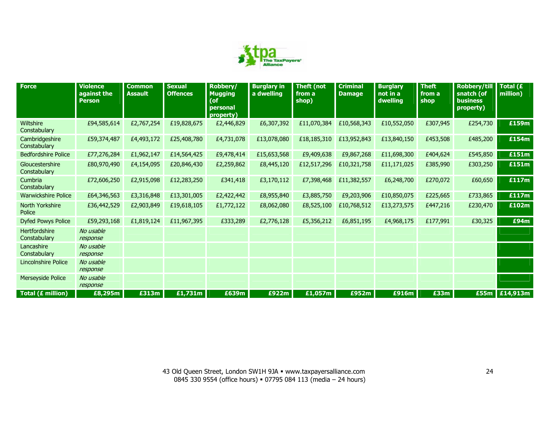

| <b>Force</b>                    | <b>Violence</b><br>against the<br><b>Person</b> | <b>Common</b><br><b>Assault</b> | <b>Sexual</b><br><b>Offences</b> | Robbery/<br><b>Mugging</b><br>(of<br>personal<br>property) | <b>Burglary in</b><br>a dwelling | <b>Theft (not</b><br>from a<br>shop) | <b>Criminal</b><br><b>Damage</b> | <b>Burglary</b><br>not in a<br>dwelling | <b>Theft</b><br>from a<br>shop | <b>Robbery/till</b><br>snatch (of<br><b>business</b><br>property) | Total $(E)$<br>million) |
|---------------------------------|-------------------------------------------------|---------------------------------|----------------------------------|------------------------------------------------------------|----------------------------------|--------------------------------------|----------------------------------|-----------------------------------------|--------------------------------|-------------------------------------------------------------------|-------------------------|
| Wiltshire<br>Constabulary       | £94,585,614                                     | £2,767,254                      | £19,828,675                      | £2,446,829                                                 | £6,307,392                       | £11,070,384                          | £10,568,343                      | £10,552,050                             | £307,945                       | £254,730                                                          | £159m                   |
| Cambridgeshire<br>Constabulary  | £59,374,487                                     | £4,493,172                      | £25,408,780                      | £4,731,078                                                 | £13,078,080                      | £18,185,310                          | £13,952,843                      | £13,840,150                             | £453,508                       | £485,200                                                          | £154m                   |
| <b>Bedfordshire Police</b>      | £77,276,284                                     | £1,962,147                      | £14,564,425                      | £9,478,414                                                 | £15,653,568                      | £9,409,638                           | £9,867,268                       | £11,698,300                             | £404,624                       | £545,850                                                          | £151m                   |
| Gloucestershire<br>Constabulary | £80,970,490                                     | £4,154,095                      | £20,846,430                      | £2,259,862                                                 | £8,445,120                       | £12,517,296                          | £10,321,758                      | £11,171,025                             | £385,990                       | £303,250                                                          | £151m                   |
| Cumbria<br>Constabulary         | £72,606,250                                     | £2,915,098                      | £12,283,250                      | £341,418                                                   | £3,170,112                       | £7,398,468                           | £11,382,557                      | £6,248,700                              | £270,072                       | £60,650                                                           | £117m                   |
| <b>Warwickshire Police</b>      | £64,346,563                                     | £3,316,848                      | £13,301,005                      | £2,422,442                                                 | £8,955,840                       | £3,885,750                           | £9,203,906                       | £10,850,075                             | £225,665                       | £733,865                                                          | £117m                   |
| North Yorkshire<br>Police       | £36,442,529                                     | £2,903,849                      | £19,618,105                      | £1,772,122                                                 | £8,062,080                       | £8,525,100                           | £10,768,512                      | £13,273,575                             | £447,216                       | £230,470                                                          | £102m                   |
| <b>Dyfed Powys Police</b>       | £59,293,168                                     | £1,819,124                      | £11,967,395                      | £333,289                                                   | £2,776,128                       | £5,356,212                           | £6,851,195                       | £4,968,175                              | £177,991                       | £30,325                                                           | £94m                    |
| Hertfordshire<br>Constabulary   | No usable<br>response                           |                                 |                                  |                                                            |                                  |                                      |                                  |                                         |                                |                                                                   |                         |
| Lancashire<br>Constabulary      | No usable<br>response                           |                                 |                                  |                                                            |                                  |                                      |                                  |                                         |                                |                                                                   |                         |
| <b>Lincolnshire Police</b>      | No usable<br>response                           |                                 |                                  |                                                            |                                  |                                      |                                  |                                         |                                |                                                                   |                         |
| Merseyside Police               | No usable<br>response                           |                                 |                                  |                                                            |                                  |                                      |                                  |                                         |                                |                                                                   |                         |
| Total (£ million)               | £8,295m                                         | £313m                           | £1,731m                          | £639m                                                      | £922m                            | £1,057m                              | £952m                            | £916m                                   | £33m                           | £55m                                                              | £14,913m                |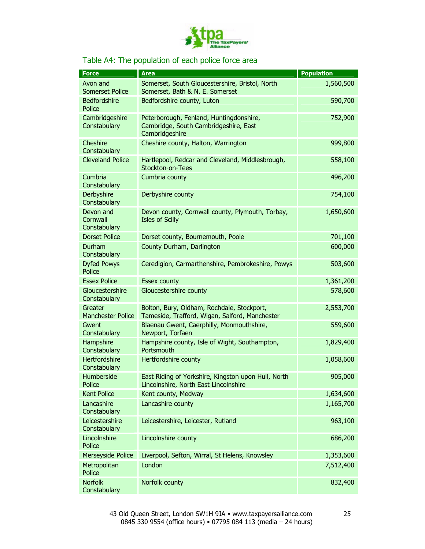

#### Table A4: The population of each police force area

| <b>Force</b>                          | <b>Area</b>                                                                                        | <b>Population</b> |
|---------------------------------------|----------------------------------------------------------------------------------------------------|-------------------|
| Avon and<br>Somerset Police           | Somerset, South Gloucestershire, Bristol, North<br>Somerset, Bath & N. E. Somerset                 | 1,560,500         |
| Bedfordshire<br>Police                | Bedfordshire county, Luton                                                                         | 590,700           |
| Cambridgeshire<br>Constabulary        | Peterborough, Fenland, Huntingdonshire,<br>Cambridge, South Cambridgeshire, East<br>Cambridgeshire | 752,900           |
| Cheshire<br>Constabulary              | Cheshire county, Halton, Warrington                                                                | 999,800           |
| <b>Cleveland Police</b>               | Hartlepool, Redcar and Cleveland, Middlesbrough,<br>Stockton-on-Tees                               | 558,100           |
| Cumbria<br>Constabulary               | Cumbria county                                                                                     | 496,200           |
| Derbyshire<br>Constabulary            | Derbyshire county                                                                                  | 754,100           |
| Devon and<br>Cornwall<br>Constabulary | Devon county, Cornwall county, Plymouth, Torbay,<br><b>Isles of Scilly</b>                         | 1,650,600         |
| <b>Dorset Police</b>                  | Dorset county, Bournemouth, Poole                                                                  | 701,100           |
| Durham<br>Constabulary                | County Durham, Darlington                                                                          | 600,000           |
| <b>Dyfed Powys</b><br>Police          | Ceredigion, Carmarthenshire, Pembrokeshire, Powys                                                  | 503,600           |
| <b>Essex Police</b>                   | <b>Essex county</b>                                                                                | 1,361,200         |
| Gloucestershire<br>Constabulary       | Gloucestershire county                                                                             | 578,600           |
| Greater<br><b>Manchester Police</b>   | Bolton, Bury, Oldham, Rochdale, Stockport,<br>Tameside, Trafford, Wigan, Salford, Manchester       | 2,553,700         |
| Gwent<br>Constabulary                 | Blaenau Gwent, Caerphilly, Monmouthshire,<br>Newport, Torfaen                                      | 559,600           |
| Hampshire<br>Constabulary             | Hampshire county, Isle of Wight, Southampton,<br>Portsmouth                                        | 1,829,400         |
| Hertfordshire<br>Constabulary         | Hertfordshire county                                                                               | 1,058,600         |
| Humberside<br>Police                  | East Riding of Yorkshire, Kingston upon Hull, North<br>Lincolnshire, North East Lincolnshire       | 905,000           |
| <b>Kent Police</b>                    | Kent county, Medway                                                                                | 1,634,600         |
| Lancashire<br>Constabulary            | Lancashire county                                                                                  | 1,165,700         |
| Leicestershire<br>Constabulary        | Leicestershire, Leicester, Rutland                                                                 | 963,100           |
| Lincolnshire<br>Police                | Lincolnshire county                                                                                | 686,200           |
| <b>Merseyside Police</b>              | Liverpool, Sefton, Wirral, St Helens, Knowsley                                                     | 1,353,600         |
| Metropolitan<br>Police                | London                                                                                             | 7,512,400         |
| <b>Norfolk</b><br>Constabulary        | Norfolk county                                                                                     | 832,400           |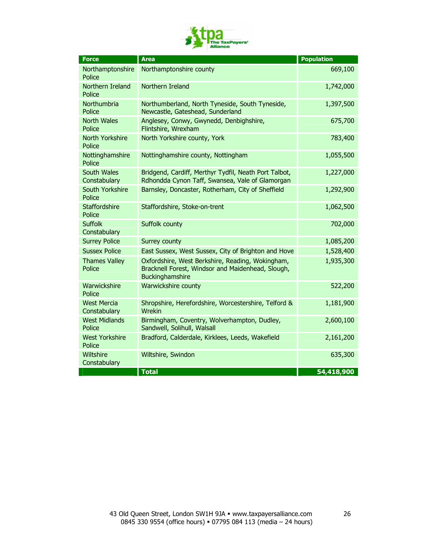

| <b>Force</b>                       | <b>Area</b>                                                                                                              | <b>Population</b> |
|------------------------------------|--------------------------------------------------------------------------------------------------------------------------|-------------------|
| Northamptonshire<br>Police         | Northamptonshire county                                                                                                  | 669,100           |
| Northern Ireland<br>Police         | Northern Ireland                                                                                                         | 1,742,000         |
| Northumbria<br>Police              | Northumberland, North Tyneside, South Tyneside,<br>Newcastle, Gateshead, Sunderland                                      | 1,397,500         |
| <b>North Wales</b><br>Police       | Anglesey, Conwy, Gwynedd, Denbighshire,<br>Flintshire, Wrexham                                                           | 675,700           |
| North Yorkshire<br>Police          | North Yorkshire county, York                                                                                             | 783,400           |
| Nottinghamshire<br>Police          | Nottinghamshire county, Nottingham                                                                                       | 1,055,500         |
| South Wales<br>Constabulary        | Bridgend, Cardiff, Merthyr Tydfil, Neath Port Talbot,<br>Rdhondda Cynon Taff, Swansea, Vale of Glamorgan                 | 1,227,000         |
| South Yorkshire<br>Police          | Barnsley, Doncaster, Rotherham, City of Sheffield                                                                        | 1,292,900         |
| <b>Staffordshire</b><br>Police     | Staffordshire, Stoke-on-trent                                                                                            | 1,062,500         |
| <b>Suffolk</b><br>Constabulary     | Suffolk county                                                                                                           | 702,000           |
| <b>Surrey Police</b>               | Surrey county                                                                                                            | 1,085,200         |
| <b>Sussex Police</b>               | East Sussex, West Sussex, City of Brighton and Hove                                                                      | 1,528,400         |
| <b>Thames Valley</b><br>Police     | Oxfordshire, West Berkshire, Reading, Wokingham,<br>Bracknell Forest, Windsor and Maidenhead, Slough,<br>Buckinghamshire | 1,935,300         |
| Warwickshire<br>Police             | Warwickshire county                                                                                                      | 522,200           |
| <b>West Mercia</b><br>Constabulary | Shropshire, Herefordshire, Worcestershire, Telford &<br>Wrekin                                                           | 1,181,900         |
| <b>West Midlands</b><br>Police     | Birmingham, Coventry, Wolverhampton, Dudley,<br>Sandwell, Solihull, Walsall                                              | 2,600,100         |
| <b>West Yorkshire</b><br>Police    | Bradford, Calderdale, Kirklees, Leeds, Wakefield                                                                         | 2,161,200         |
| Wiltshire<br>Constabulary          | Wiltshire, Swindon                                                                                                       | 635,300           |
|                                    | <b>Total</b>                                                                                                             | 54,418,900        |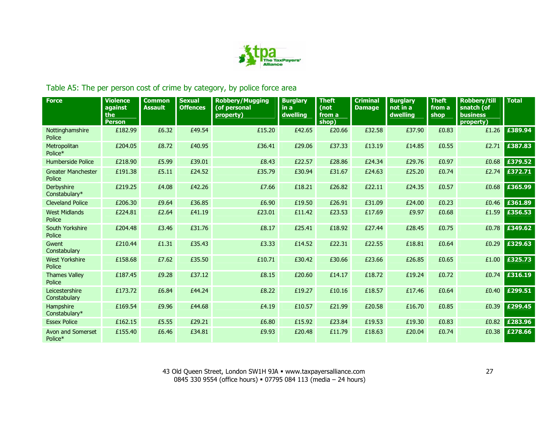

## Table A5: The per person cost of crime by category, by police force area

| <b>Force</b>                        | <b>Violence</b><br>against<br>the<br><b>Person</b> | <b>Common</b><br><b>Assault</b> | <b>Sexual</b><br><b>Offences</b> | <b>Robbery/Mugging</b><br>(of personal<br>property) | <b>Burglary</b><br>in a<br>dwelling | <b>Theft</b><br>(not<br>from a<br>shop) | <b>Criminal</b><br><b>Damage</b> | <b>Burglary</b><br>not in a<br>dwelling | <b>Theft</b><br>from a<br>shop | <b>Robbery/till</b><br>snatch (of<br><b>business</b><br>property) | <b>Total</b> |
|-------------------------------------|----------------------------------------------------|---------------------------------|----------------------------------|-----------------------------------------------------|-------------------------------------|-----------------------------------------|----------------------------------|-----------------------------------------|--------------------------------|-------------------------------------------------------------------|--------------|
| Nottinghamshire<br>Police           | £182.99                                            | £6.32                           | £49.54                           | £15.20                                              | £42.65                              | £20.66                                  | £32.58                           | £37.90                                  | £0.83                          | £1.26                                                             | £389.94      |
| Metropolitan<br>Police*             | £204.05                                            | £8.72                           | £40.95                           | £36.41                                              | £29.06                              | £37.33                                  | £13.19                           | £14.85                                  | £0.55                          | £2.71                                                             | £387.83      |
| Humberside Police                   | £218.90                                            | £5.99                           | £39.01                           | £8.43                                               | £22.57                              | £28.86                                  | £24.34                           | £29.76                                  | £0.97                          | £0.68                                                             | £379.52      |
| <b>Greater Manchester</b><br>Police | £191.38                                            | £5.11                           | £24.52                           | £35.79                                              | £30.94                              | £31.67                                  | £24.63                           | £25.20                                  | £0.74                          | £2.74                                                             | £372.71      |
| Derbyshire<br>Constabulary*         | £219.25                                            | £4.08                           | £42.26                           | £7.66                                               | £18.21                              | £26.82                                  | £22.11                           | £24.35                                  | £0.57                          | £0.68                                                             | £365.99      |
| <b>Cleveland Police</b>             | £206.30                                            | £9.64                           | £36.85                           | £6.90                                               | £19.50                              | £26.91                                  | £31.09                           | £24.00                                  | £0.23                          | £0.46                                                             | £361.89      |
| <b>West Midlands</b><br>Police      | £224.81                                            | £2.64                           | £41.19                           | £23.01                                              | £11.42                              | £23.53                                  | £17.69                           | £9.97                                   | £0.68                          | £1.59                                                             | £356.53      |
| South Yorkshire<br>Police           | £204.48                                            | £3.46                           | £31.76                           | £8.17                                               | £25.41                              | £18.92                                  | £27.44                           | £28.45                                  | £0.75                          | £0.78                                                             | £349.62      |
| Gwent<br>Constabulary               | £210.44                                            | £1.31                           | £35.43                           | £3.33                                               | £14.52                              | £22.31                                  | £22.55                           | £18.81                                  | £0.64                          | £0.29                                                             | £329.63      |
| <b>West Yorkshire</b><br>Police     | £158.68                                            | £7.62                           | £35.50                           | £10.71                                              | £30.42                              | £30.66                                  | £23.66                           | £26.85                                  | £0.65                          | £1.00                                                             | £325.73      |
| <b>Thames Valley</b><br>Police      | £187.45                                            | £9.28                           | £37.12                           | £8.15                                               | £20.60                              | £14.17                                  | £18.72                           | £19.24                                  | £0.72                          | £0.74                                                             | £316.19      |
| Leicestershire<br>Constabulary      | £173.72                                            | £6.84                           | £44.24                           | £8.22                                               | £19.27                              | £10.16                                  | £18.57                           | £17.46                                  | £0.64                          | £0.40                                                             | £299.51      |
| Hampshire<br>Constabulary*          | £169.54                                            | £9.96                           | £44.68                           | £4.19                                               | £10.57                              | £21.99                                  | £20.58                           | £16.70                                  | £0.85                          | £0.39                                                             | £299.45      |
| <b>Essex Police</b>                 | £162.15                                            | £5.55                           | £29.21                           | £6.80                                               | £15.92                              | £23.84                                  | £19.53                           | £19.30                                  | £0.83                          | £0.82                                                             | £283.96      |
| Avon and Somerset<br>Police*        | £155.40                                            | £6.46                           | £34.81                           | £9.93                                               | £20.48                              | £11.79                                  | £18.63                           | £20.04                                  | £0.74                          | £0.38                                                             | £278.66      |

43 Old Queen Street, London SW1H 9JA · www.taxpayersalliance.com 0845 330 9554 (office hours) = 07795 084 113 (media – 24 hours)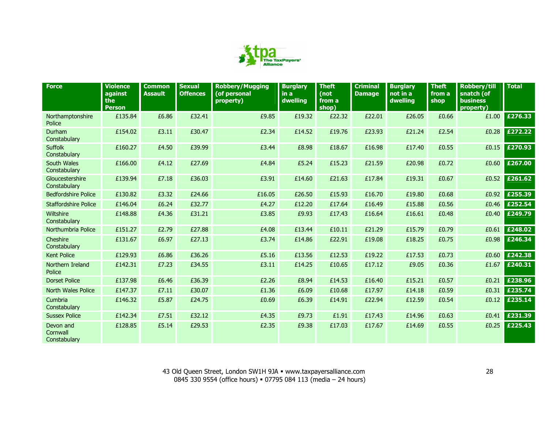

| <b>Force</b>                          | <b>Violence</b><br>against<br>the<br><b>Person</b> | <b>Common</b><br><b>Assault</b> | <b>Sexual</b><br><b>Offences</b> | <b>Robbery/Mugging</b><br>(of personal<br>property) | <b>Burglary</b><br>in a<br>dwelling | <b>Theft</b><br>(not<br>from a<br>shop) | <b>Criminal</b><br><b>Damage</b> | <b>Burglary</b><br>not in a<br>dwelling | <b>Theft</b><br>from a<br>shop | <b>Robbery/till</b><br>snatch (of<br><b>business</b><br>property) | <b>Total</b> |
|---------------------------------------|----------------------------------------------------|---------------------------------|----------------------------------|-----------------------------------------------------|-------------------------------------|-----------------------------------------|----------------------------------|-----------------------------------------|--------------------------------|-------------------------------------------------------------------|--------------|
| Northamptonshire<br>Police            | £135.84                                            | £6.86                           | £32.41                           | £9.85                                               | £19.32                              | £22.32                                  | £22.01                           | £26.05                                  | £0.66                          | £1.00                                                             | £276.33      |
| Durham<br>Constabulary                | £154.02                                            | £3.11                           | £30.47                           | £2.34                                               | £14.52                              | £19.76                                  | £23.93                           | £21.24                                  | £2.54                          | £0.28                                                             | £272.22      |
| <b>Suffolk</b><br>Constabulary        | £160.27                                            | £4.50                           | £39.99                           | £3.44                                               | £8.98                               | £18.67                                  | £16.98                           | £17.40                                  | £0.55                          | £0.15                                                             | £270.93      |
| South Wales<br>Constabulary           | £166.00                                            | £4.12                           | £27.69                           | £4.84                                               | £5.24                               | £15.23                                  | £21.59                           | £20.98                                  | £0.72                          | £0.60                                                             | £267.00      |
| Gloucestershire<br>Constabulary       | £139.94                                            | £7.18                           | £36.03                           | £3.91                                               | £14.60                              | £21.63                                  | £17.84                           | £19.31                                  | £0.67                          | £0.52                                                             | £261.62      |
| <b>Bedfordshire Police</b>            | £130.82                                            | £3.32                           | £24.66                           | £16.05                                              | £26.50                              | £15.93                                  | £16.70                           | £19.80                                  | £0.68                          | £0.92                                                             | £255.39      |
| <b>Staffordshire Police</b>           | £146.04                                            | £6.24                           | £32.77                           | £4.27                                               | £12.20                              | £17.64                                  | £16.49                           | £15.88                                  | £0.56                          | £0.46                                                             | £252.54      |
| Wiltshire<br>Constabulary             | £148.88                                            | £4.36                           | £31.21                           | £3.85                                               | £9.93                               | £17.43                                  | £16.64                           | £16.61                                  | £0.48                          | £0.40                                                             | £249.79      |
| Northumbria Police                    | £151.27                                            | £2.79                           | £27.88                           | £4.08                                               | £13.44                              | £10.11                                  | £21.29                           | £15.79                                  | £0.79                          | £0.61                                                             | £248.02      |
| Cheshire<br>Constabulary              | £131.67                                            | £6.97                           | £27.13                           | £3.74                                               | £14.86                              | £22.91                                  | £19.08                           | £18.25                                  | £0.75                          | £0.98                                                             | £246.34      |
| Kent Police                           | £129.93                                            | £6.86                           | £36.26                           | £5.16                                               | £13.56                              | £12.53                                  | £19.22                           | £17.53                                  | £0.73                          | £0.60                                                             | £242.38      |
| Northern Ireland<br>Police            | £142.31                                            | £7.23                           | £34.55                           | £3.11                                               | £14.25                              | £10.65                                  | £17.12                           | £9.05                                   | £0.36                          | £1.67                                                             | £240.31      |
| <b>Dorset Police</b>                  | £137.98                                            | £6.46                           | £36.39                           | £2.26                                               | £8.94                               | £14.53                                  | £16.40                           | £15.21                                  | £0.57                          | £0.21                                                             | £238.96      |
| North Wales Police                    | £147.37                                            | £7.11                           | £30.07                           | £1.36                                               | £6.09                               | £10.68                                  | £17.97                           | £14.18                                  | £0.59                          | £0.31                                                             | £235.74      |
| Cumbria<br>Constabulary               | £146.32                                            | £5.87                           | £24.75                           | £0.69                                               | £6.39                               | £14.91                                  | £22.94                           | £12.59                                  | £0.54                          | £0.12                                                             | £235.14      |
| <b>Sussex Police</b>                  | £142.34                                            | £7.51                           | £32.12                           | £4.35                                               | £9.73                               | £1.91                                   | £17.43                           | £14.96                                  | £0.63                          | £0.41                                                             | £231.39      |
| Devon and<br>Cornwall<br>Constabulary | £128.85                                            | £5.14                           | £29.53                           | £2.35                                               | £9.38                               | £17.03                                  | £17.67                           | £14.69                                  | £0.55                          | £0.25                                                             | £225.43      |

43 Old Queen Street, London SW1H 9JA www.taxpayersalliance.com 0845 330 9554 (office hours) 07795 084 113 (media – 24 hours)